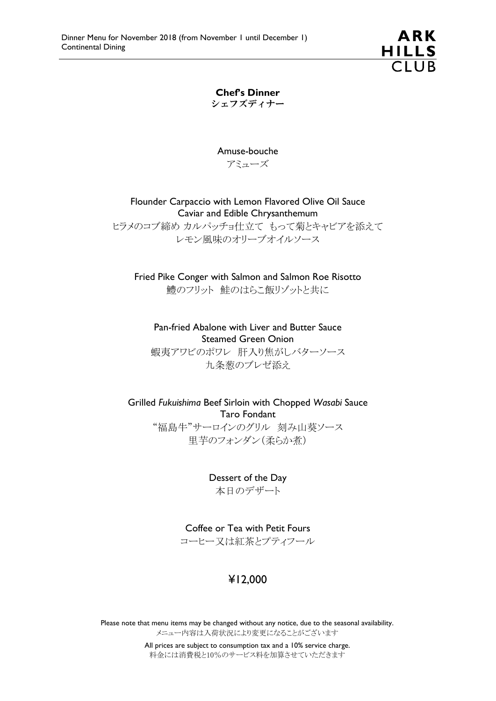

Chef's Dinner シェフズディナー

Amuse-bouche アミューズ

Flounder Carpaccio with Lemon Flavored Olive Oil Sauce Caviar and Edible Chrysanthemum

ヒラメのコブ締め カルパッチョ仕立て もって菊とキャビアを添えて レモン風味のオリーブオイルソース

Fried Pike Conger with Salmon and Salmon Roe Risotto 鱧のフリット 鮭のはらこ飯リゾットと共に

Pan-fried Abalone with Liver and Butter Sauce Steamed Green Onion 蝦夷アワビのポワレ 肝入り焦がしバターソース 九条葱のブレゼ添え

Grilled *Fukuishima* Beef Sirloin with Chopped *Wasabi* Sauce Taro Fondant "福島牛"サーロインのグリル 刻み山葵ソース

里芋のフォンダン(柔らか煮)

Dessert of the Day 本日のデザート

Coffee or Tea with Petit Fours コーヒー又は紅茶とプティフール

## ¥12,000

Please note that menu items may be changed without any notice, due to the seasonal availability. メニュー内容は入荷状況により変更になることがございます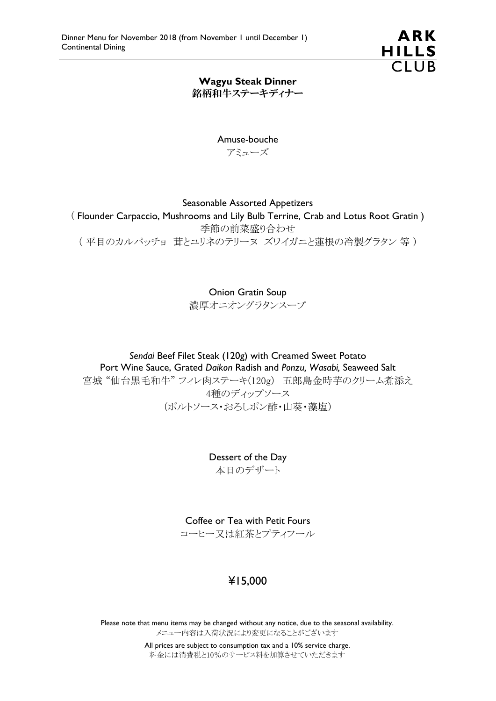

### Wagyu Steak Dinner 銘柄和牛ステーキディナー

Amuse-bouche アミューズ

#### Seasonable Assorted Appetizers

( Flounder Carpaccio, Mushrooms and Lily Bulb Terrine, Crab and Lotus Root Gratin ) 季節の前菜盛り合わせ ( 平目のカルパッチョ 茸とユリネのテリーヌ ズワイガニと蓮根の冷製グラタン 等 )

Onion Gratin Soup

濃厚オニオングラタンスープ

*Sendai* Beef Filet Steak (120g) with Creamed Sweet Potato Port Wine Sauce, Grated *Daikon* Radish and *Ponzu, Wasabi,* Seaweed Salt 宮城 "仙台黒毛和牛" フィレ肉ステーキ(120g) 五郎島金時芋のクリーム煮添え 4種のディップソース (ポルトソース・おろしポン酢・山葵・藻塩)

> Dessert of the Day 本日のデザート

Coffee or Tea with Petit Fours

コーヒー又は紅茶とプティフール

# ¥15,000

Please note that menu items may be changed without any notice, due to the seasonal availability. メニュー内容は入荷状況により変更になることがございます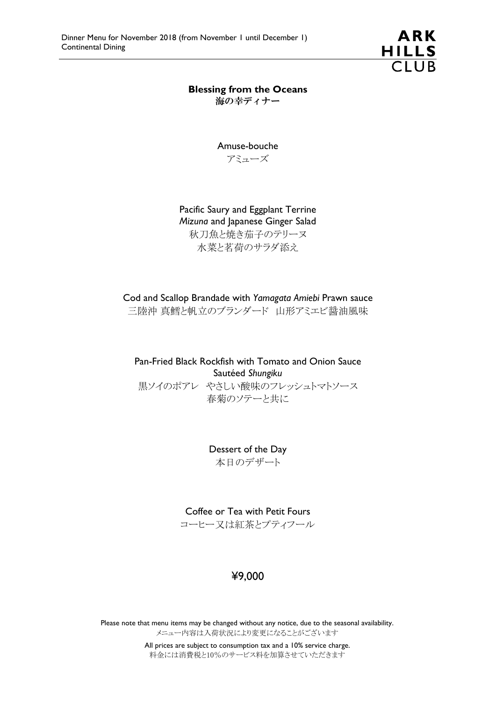

Blessing from the Oceans 海の幸ディナー

> Amuse-bouche アミューズ

Pacific Saury and Eggplant Terrine *Mizuna* and Japanese Ginger Salad 秋刀魚と焼き茄子のテリーヌ 水菜と茗荷のサラダ添え

Cod and Scallop Brandade with *Yamagata Amiebi* Prawn sauce 三陸沖 真鱈と帆立のブランダード 山形アミエビ醤油風味

Pan-Fried Black Rockfish with Tomato and Onion Sauce Sautéed *Shungiku* 黒ソイのポアレ やさしい酸味のフレッシュトマトソース 春菊のソテーと共に

> Dessert of the Day 本日のデザート

Coffee or Tea with Petit Fours コーヒー又は紅茶とプティフール

# ¥9,000

Please note that menu items may be changed without any notice, due to the seasonal availability. メニュー内容は入荷状況により変更になることがございます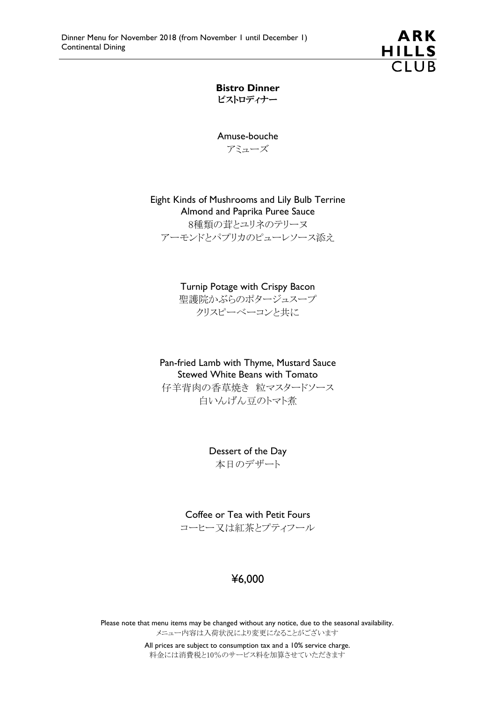

Bistro Dinner ビストロディナー

Amuse-bouche アミューズ

Eight Kinds of Mushrooms and Lily Bulb Terrine Almond and Paprika Puree Sauce 8種類の茸とユリネのテリーヌ アーモンドとパプリカのピューレソース添え

> Turnip Potage with Crispy Bacon 聖護院かぶらのポタージュスープ クリスピーベーコンと共に

Pan-fried Lamb with Thyme, Mustard Sauce Stewed White Beans with Tomato 仔羊背肉の香草焼き 粒マスタードソース 白いんげん豆のトマト煮

> Dessert of the Day 本日のデザート

Coffee or Tea with Petit Fours コーヒー又は紅茶とプティフール

### ¥6,000

Please note that menu items may be changed without any notice, due to the seasonal availability. メニュー内容は入荷状況により変更になることがございます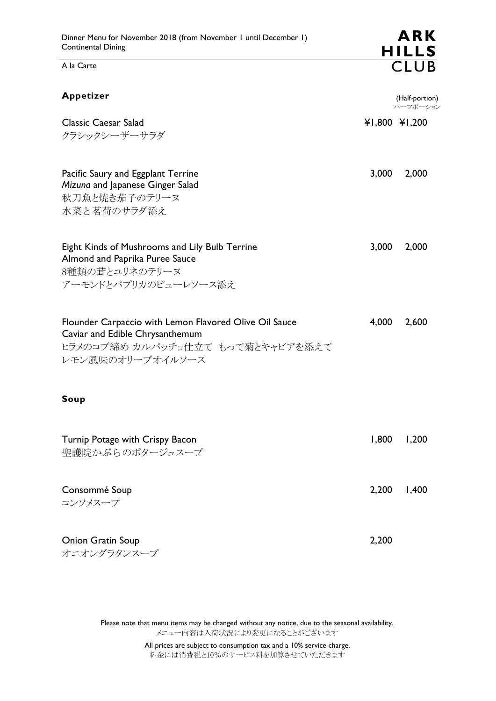A la Carte

| Appetizer                                                                                                                                         |       | (Half-portion)<br>ハーフポーション |
|---------------------------------------------------------------------------------------------------------------------------------------------------|-------|----------------------------|
| <b>Classic Caesar Salad</b><br>クラシックシーザーサラダ                                                                                                       |       | ¥1,800 ¥1,200              |
| Pacific Saury and Eggplant Terrine<br>Mizuna and Japanese Ginger Salad<br>秋刀魚と焼き茄子のテリーヌ<br>水菜と茗荷のサラダ添え                                            | 3,000 | 2,000                      |
| Eight Kinds of Mushrooms and Lily Bulb Terrine<br>Almond and Paprika Puree Sauce<br>8種類の茸とユリネのテリーヌ<br>アーモンドとパプリカのピューレソース添え                        | 3,000 | 2,000                      |
| Flounder Carpaccio with Lemon Flavored Olive Oil Sauce<br>Caviar and Edible Chrysanthemum<br>ヒラメのコブ締め カルパッチョ仕立て もって菊とキャビアを添えて<br>レモン風味のオリーブオイルソース | 4,000 | 2,600                      |
| Soup                                                                                                                                              |       |                            |
| Turnip Potage with Crispy Bacon<br>聖護院かぶらのポタージュスープ                                                                                                | 1,800 | 1,200                      |
| Consommé Soup<br>コンソメスープ                                                                                                                          | 2,200 | 1,400                      |
| <b>Onion Gratin Soup</b><br>オニオングラタンスープ                                                                                                           | 2,200 |                            |

**ARK** 

HILLS<br>CLUB

Please note that menu items may be changed without any notice, due to the seasonal availability. メニュー内容は入荷状況により変更になることがございます